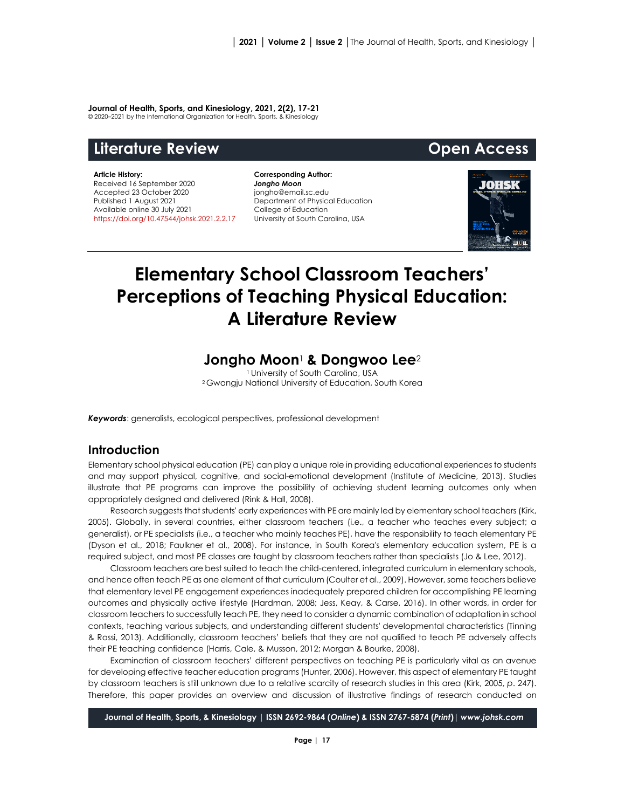# **Journal of Health, Sports, and Kinesiology, 2021, 2(2), 17-21**

© 2020–2021 by the International Organization for Health, Sports, & Kinesiology

# **Literature Review Open Access**

## **Article History:**

Received 16 September 2020 Accepted 23 October 2020 Published 1 August 2021 Available online 30 July 2021 [https://doi.org/10.47544/johsk.2021.2.2.1](https://doi.org/10.47544/johsk.2021.2.2.)7

**Corresponding Author:** *Jongho Moon* jongho@email.sc.edu Department of Physical Education College of Education University of South Carolina, USA



# **Elementary School Classroom Teachers' Perceptions of Teaching Physical Education: A Literature Review**

# **Jongho Moon**<sup>1</sup> **& Dongwoo Lee**<sup>2</sup>

1 University of South Carolina, USA <sup>2</sup> Gwangju National University of Education, South Korea

*Keywords*: generalists, ecological perspectives, professional development

# **Introduction**

Elementary school physical education (PE) can play a unique role in providing educational experiences to students and may support physical, cognitive, and social-emotional development (Institute of Medicine, 2013). Studies illustrate that PE programs can improve the possibility of achieving student learning outcomes only when appropriately designed and delivered (Rink & Hall, 2008).

Research suggests that students' early experiences with PE are mainly led by elementary school teachers (Kirk, 2005). Globally, in several countries, either classroom teachers (i.e., a teacher who teaches every subject; a generalist), or PE specialists (i.e., a teacher who mainly teaches PE), have the responsibility to teach elementary PE (Dyson et al., 2018; Faulkner et al., 2008). For instance, in South Korea's elementary education system, PE is a required subject, and most PE classes are taught by classroom teachers rather than specialists (Jo & Lee, 2012).

Classroom teachers are best suited to teach the child-centered, integrated curriculum in elementary schools, and hence often teach PE as one element of that curriculum (Coulter et al., 2009). However, some teachers believe that elementary level PE engagement experiences inadequately prepared children for accomplishing PE learning outcomes and physically active lifestyle (Hardman, 2008; Jess, Keay, & Carse, 2016). In other words, in order for classroom teachers to successfully teach PE, they need to consider a dynamic combination of adaptation in school contexts, teaching various subjects, and understanding different students' developmental characteristics (Tinning & Rossi, 2013). Additionally, classroom teachers' beliefs that they are not qualified to teach PE adversely affects their PE teaching confidence (Harris, Cale, & Musson, 2012; Morgan & Bourke, 2008).

Examination of classroom teachers' different perspectives on teaching PE is particularly vital as an avenue for developing effective teacher education programs (Hunter, 2006). However, this aspect of elementary PE taught by classroom teachers is still unknown due to a relative scarcity of research studies in this area (Kirk, 2005, *p*. 247). Therefore, this paper provides an overview and discussion of illustrative findings of research conducted on

**Journal of Health, Sports, & Kinesiology | ISSN 2692-9864 (***Online***) & ISSN 2767-5874 (***Print***)|** *www.johsk.com*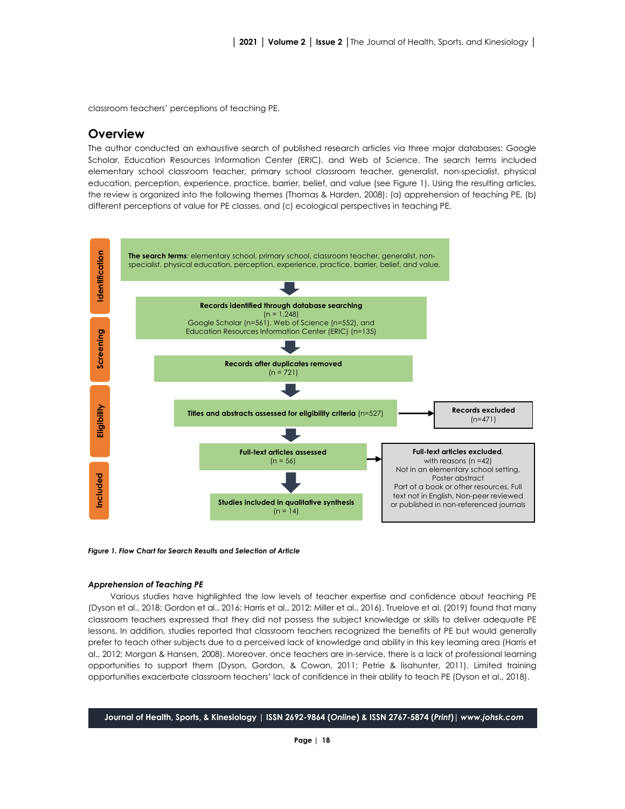classroom teachers' perceptions of teaching PE.

# **Overview**

The author conducted an exhaustive search of published research articles via three major databases: Google Scholar, Education Resources Information Center (ERIC), and Web of Science. The search terms included elementary school classroom teacher, primary school classroom teacher, generalist, non-specialist, physical education, perception, experience, practice, barrier, belief, and value (see Figure 1). Using the resulting articles, the review is organized into the following themes (Thomas & Harden, 2008): (a) apprehension of teaching PE, (b) different perceptions of value for PE classes, and (c) ecological perspectives in teaching PE.



#### *Figure 1. Flow Chart for Search Results and Selection of Article*

## *Apprehension of Teaching PE*

Various studies have highlighted the low levels of teacher expertise and confidence about teaching PE (Dyson et al., 2018; Gordon et al., 2016; Harris et al., 2012; Miller et al., 2016). Truelove et al. (2019) found that many classroom teachers expressed that they did not possess the subject knowledge or skills to deliver adequate PE lessons. In addition, studies reported that classroom teachers recognized the benefits of PE but would generally prefer to teach other subjects due to a perceived lack of knowledge and ability in this key learning area (Harris et al., 2012; Morgan & Hansen, 2008). Moreover, once teachers are in-service, there is a lack of professional learning opportunities to support them (Dyson, Gordon, & Cowan, 2011; Petrie & lisahunter, 2011). Limited training opportunities exacerbate classroom teachers' lack of confidence in their ability to teach PE (Dyson et al., 2018).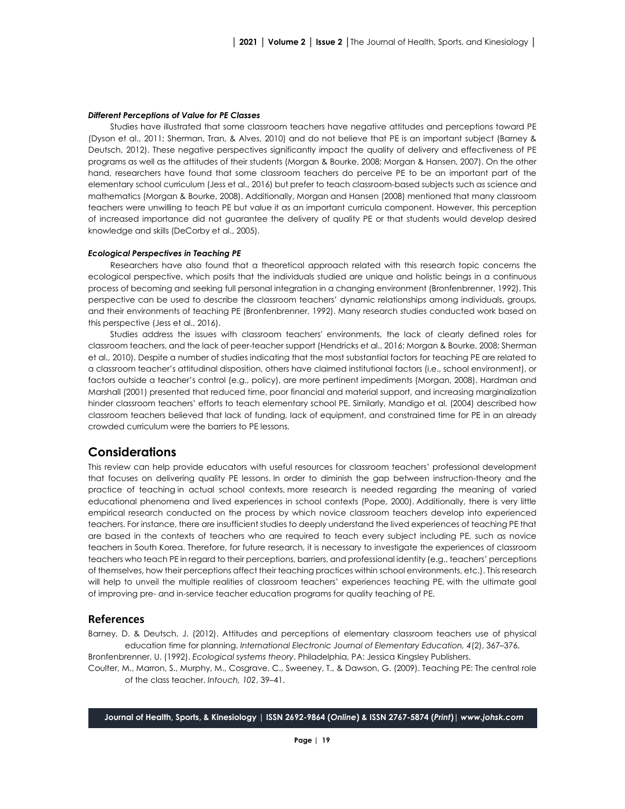## *Different Perceptions of Value for PE Classes*

Studies have illustrated that some classroom teachers have negative attitudes and perceptions toward PE (Dyson et al., 2011; Sherman, Tran, & Alves, 2010) and do not believe that PE is an important subject (Barney & Deutsch, 2012). These negative perspectives significantly impact the quality of delivery and effectiveness of PE programs as well as the attitudes of their students (Morgan & Bourke, 2008; Morgan & Hansen, 2007). On the other hand, researchers have found that some classroom teachers do perceive PE to be an important part of the elementary school curriculum (Jess et al., 2016) but prefer to teach classroom-based subjects such as science and mathematics (Morgan & Bourke, 2008). Additionally, Morgan and Hansen (2008) mentioned that many classroom teachers were unwilling to teach PE but value it as an important curricula component. However, this perception of increased importance did not guarantee the delivery of quality PE or that students would develop desired knowledge and skills (DeCorby et al., 2005).

## *Ecological Perspectives in Teaching PE*

Researchers have also found that a theoretical approach related with this research topic concerns the ecological perspective, which posits that the individuals studied are unique and holistic beings in a continuous process of becoming and seeking full personal integration in a changing environment (Bronfenbrenner, 1992). This perspective can be used to describe the classroom teachers' dynamic relationships among individuals, groups, and their environments of teaching PE (Bronfenbrenner, 1992). Many research studies conducted work based on this perspective (Jess et al., 2016).

Studies address the issues with classroom teachers' environments, the lack of clearly defined roles for classroom teachers, and the lack of peer-teacher support (Hendricks et al., 2016; Morgan & Bourke, 2008; Sherman et al., 2010). Despite a number of studies indicating that the most substantial factors for teaching PE are related to a classroom teacher's attitudinal disposition, others have claimed institutional factors (i.e., school environment), or factors outside a teacher's control (e.g., policy), are more pertinent impediments (Morgan, 2008). Hardman and Marshall (2001) presented that reduced time, poor financial and material support, and increasing marginalization hinder classroom teachers' efforts to teach elementary school PE. Similarly, Mandigo et al. (2004) described how classroom teachers believed that lack of funding, lack of equipment, and constrained time for PE in an already crowded curriculum were the barriers to PE lessons.

# **Considerations**

This review can help provide educators with useful resources for classroom teachers' professional development that focuses on delivering quality PE lessons. In order to diminish the gap between instruction-theory and the practice of teaching in actual school contexts, more research is needed regarding the meaning of varied educational phenomena and lived experiences in school contexts (Pope, 2000). Additionally, there is very little empirical research conducted on the process by which novice classroom teachers develop into experienced teachers. For instance, there are insufficient studies to deeply understand the lived experiences of teaching PE that are based in the contexts of teachers who are required to teach every subject including PE, such as novice teachers in South Korea. Therefore, for future research, it is necessary to investigate the experiences of classroom teachers who teach PE in regard to their perceptions, barriers, and professional identity (e.g., teachers' perceptions of themselves, how their perceptions affect their teaching practices within school environments, etc.). This research will help to unveil the multiple realities of classroom teachers' experiences teaching PE, with the ultimate goal of improving pre- and in-service teacher education programs for quality teaching of PE.

# **References**

Barney, D. & Deutsch, J. (2012). Attitudes and perceptions of elementary classroom teachers use of physical education time for planning. *International Electronic Journal of Elementary Education, 4*(2), 367*–*376.

Bronfenbrenner, U. (1992). *Ecological systems theory*. Philadelphia, PA: Jessica Kingsley Publishers.

Coulter, M., Marron, S., Murphy, M., Cosgrave, C., Sweeney, T., & Dawson, G. (2009). Teaching PE: The central role of the class teacher. *Intouch, 102*, 39–41.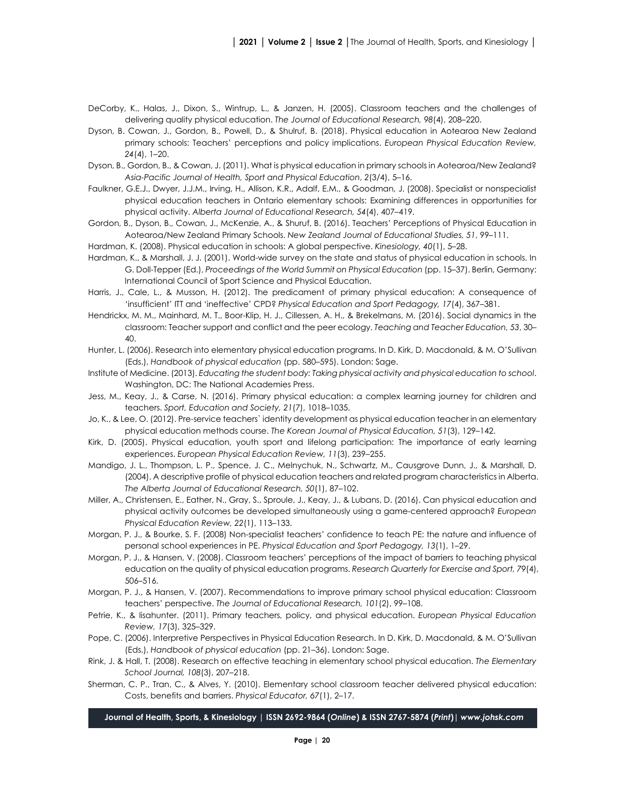- DeCorby, K., Halas, J., Dixon, S., Wintrup, L., & Janzen, H. (2005). Classroom teachers and the challenges of delivering quality physical education. *The Journal of Educational Research, 98*(4), 208–220.
- Dyson, B. Cowan, J., Gordon, B., Powell, D., & Shulruf, B. (2018). Physical education in Aotearoa New Zealand primary schools: Teachers' perceptions and policy implications. *European Physical Education Review, 24*(4), 1–20.
- Dyson, B., Gordon, B., & Cowan, J. (2011). What is physical education in primary schools in Aotearoa/New Zealand? *Asia-Pacific Journal of Health, Sport and Physical Education*, *2*(3/4), 5–16.
- Faulkner, G.E.J., Dwyer, J.J.M., Irving, H., Allison, K.R., Adalf, E.M., & Goodman, J. (2008). Specialist or nonspecialist physical education teachers in Ontario elementary schools: Examining differences in opportunities for physical activity. *Alberta Journal of Educational Research, 54*(4), 407–419.
- Gordon, B., Dyson, B., Cowan, J., McKenzie, A., & Shuruf, B. (2016). Teachers' Perceptions of Physical Education in Aotearoa/New Zealand Primary Schools. *New Zealand Journal of Educational Studies, 51*, 99–111.

Hardman, K. (2008). Physical education in schools: A global perspective. *Kinesiology, 40*(1), 5–28.

- Hardman, K., & Marshall, J. J. (2001). World-wide survey on the state and status of physical education in schools. In G. Doll-Tepper (Ed.), *Proceedings of the World Summit on Physical Education* (pp. 15–37). Berlin, Germany: International Council of Sport Science and Physical Education.
- Harris, J., Cale, L., & Musson, H. (2012). The predicament of primary physical education: A consequence of 'insufficient' ITT and 'ineffective' CPD? *Physical Education and Sport Pedagogy, 17*(4), 367–381.
- Hendrickx, M. M., Mainhard, M. T., Boor-Klip, H. J., Cillessen, A. H., & Brekelmans, M. (2016). Social dynamics in the classroom: Teacher support and conflict and the peer ecology. *Teaching and Teacher Education, 53*, 30– 40.
- Hunter, L. (2006). Research into elementary physical education programs. In D. Kirk, D. Macdonald, & M. O'Sullivan (Eds.), *Handbook of physical education* (pp. 580–595). London: Sage.
- Institute of Medicine. (2013). *Educating the student body: Taking physical activity and physical education to school*. Washington, DC: The National Academies Press.
- Jess, M., Keay, J., & Carse, N. (2016). Primary physical education: a complex learning journey for children and teachers. *Sport, Education and Society, 21*(7), 1018–1035.
- Jo, K., & Lee, O. (2012). Pre-service teachers` identity development as physical education teacher in an elementary physical education methods course. *The Korean Journal of Physical Education, 51*(3), 129–142.
- Kirk, D. (2005). Physical education, youth sport and lifelong participation: The importance of early learning experiences. *European Physical Education Review, 11*(3), 239–255.
- Mandigo, J. L., Thompson, L. P., Spence, J. C., Melnychuk, N., Schwartz, M., Causgrove Dunn, J., & Marshall, D. (2004). A descriptive profile of physical education teachers and related program characteristics in Alberta. *The Alberta Journal of Educational Research, 50*(1), 87–102.
- Miller, A., Christensen, E., Eather, N., Gray, S., Sproule, J., Keay, J., & Lubans, D. (2016). Can physical education and physical activity outcomes be developed simultaneously using a game-centered approach? *European Physical Education Review, 22*(1), 113–133.
- Morgan, P. J., & Bourke, S. F. (2008) Non-specialist teachers' confidence to teach PE: the nature and influence of personal school experiences in PE. *Physical Education and Sport Pedagogy, 13*(1), 1–29.
- Morgan, P. J., & Hansen, V. (2008). Classroom teachers' perceptions of the impact of barriers to teaching physical education on the quality of physical education programs. *Research Quarterly for Exercise and Sport, 79*(4), 506–516.
- Morgan, P. J., & Hansen, V. (2007). Recommendations to improve primary school physical education: Classroom teachers' perspective. *The Journal of Educational Research, 101*(2), 99–108.
- Petrie, K., & lisahunter. (2011). Primary teachers, policy, and physical education. *European Physical Education Review, 17*(3), 325–329.
- Pope, C. (2006). Interpretive Perspectives in Physical Education Research. In D. Kirk, D. Macdonald, & M. O'Sullivan (Eds.), *Handbook of physical education* (pp. 21–36). London: Sage.
- Rink, J. & Hall, T. (2008). Research on effective teaching in elementary school physical education. *The Elementary School Journal, 108*(3), 207–218.
- Sherman, C. P., Tran, C., & Alves, Y. (2010). Elementary school classroom teacher delivered physical education: Costs, benefits and barriers. *Physical Educator, 67*(1), 2–17.

# **Journal of Health, Sports, & Kinesiology | ISSN 2692-9864 (***Online***) & ISSN 2767-5874 (***Print***)|** *www.johsk.com*